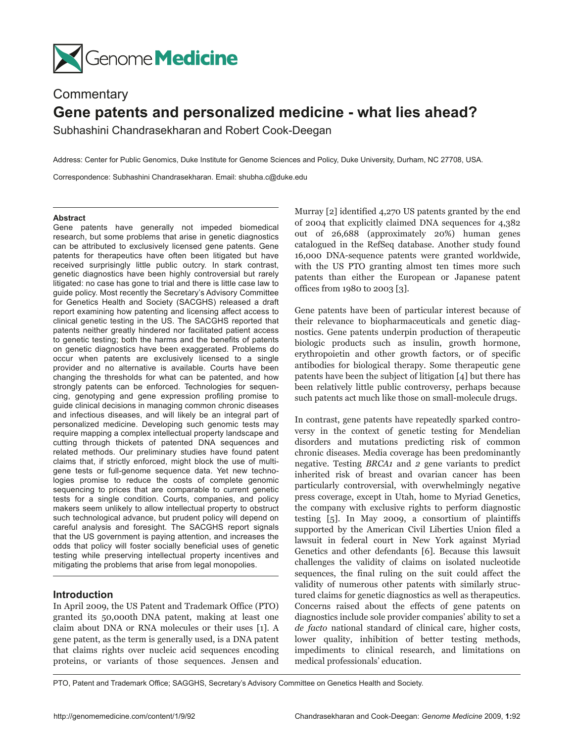

# **Commentary Gene patents and personalized medicine - what lies ahead?** Subhashini Chandrasekharan and Robert Cook-Deegan

Address: Center for Public Genomics, Duke Institute for Genome Sciences and Policy, Duke University, Durham, NC 27708, USA.

Correspondence: Subhashini Chandrasekharan. Email: shubha.c@duke.edu

#### **Abstract**

Gene patents have generally not impeded biomedical research, but some problems that arise in genetic diagnostics can be attributed to exclusively licensed gene patents. Gene patents for therapeutics have often been litigated but have received surprisingly little public outcry. In stark contrast, genetic diagnostics have been highly controversial but rarely litigated: no case has gone to trial and there is little case law to guide policy. Most recently the Secretary's Advisory Committee for Genetics Health and Society (SACGHS) released a draft report examining how patenting and licensing affect access to clinical genetic testing in the US. The SACGHS reported that patents neither greatly hindered nor facilitated patient access to genetic testing; both the harms and the benefits of patents on genetic diagnostics have been exaggerated. Problems do occur when patents are exclusively licensed to a single provider and no alternative is available. Courts have been changing the thresholds for what can be patented, and how strongly patents can be enforced. Technologies for sequencing, genotyping and gene expression profiling promise to guide clinical decisions in managing common chronic diseases and infectious diseases, and will likely be an integral part of personalized medicine. Developing such genomic tests may require mapping a complex intellectual property landscape and cutting through thickets of patented DNA sequences and related methods. Our preliminary studies have found patent claims that, if strictly enforced, might block the use of multigene tests or full-genome sequence data. Yet new technologies promise to reduce the costs of complete genomic sequencing to prices that are comparable to current genetic tests for a single condition. Courts, companies, and policy makers seem unlikely to allow intellectual property to obstruct such technological advance, but prudent policy will depend on careful analysis and foresight. The SACGHS report signals that the US government is paying attention, and increases the odds that policy will foster socially beneficial uses of genetic testing while preserving intellectual property incentives and mitigating the problems that arise from legal monopolies.

## **Introduction**

In April 2009, the US Patent and Trademark Office (PTO) granted its 50,000th DNA patent, making at least one claim about DNA or RNA molecules or their uses [1]. A gene patent, as the term is generally used, is a DNA patent that claims rights over nucleic acid sequences encoding proteins, or variants of those sequences. Jensen and Murray [2] identified 4,270 US patents granted by the end of 2004 that explicitly claimed DNA sequences for 4,382 out of 26,688 (approximately 20%) human genes catalogued in the RefSeq database. Another study found 16,000 DNA-sequence patents were granted worldwide, with the US PTO granting almost ten times more such patents than either the European or Japanese patent offices from 1980 to 2003 [3].

Gene patents have been of particular interest because of their relevance to biopharmaceuticals and genetic diagnostics. Gene patents underpin production of therapeutic biologic products such as insulin, growth hormone, erythropoietin and other growth factors, or of specific antibodies for biological therapy. Some therapeutic gene patents have been the subject of litigation [4] but there has been relatively little public controversy, perhaps because such patents act much like those on small-molecule drugs.

In contrast, gene patents have repeatedly sparked controversy in the context of genetic testing for Mendelian disorders and mutations predicting risk of common chronic diseases. Media coverage has been predominantly negative. Testing *BRCA1* and *2* gene variants to predict inherited risk of breast and ovarian cancer has been particularly controversial, with overwhelmingly negative press coverage, except in Utah, home to Myriad Genetics, the company with exclusive rights to perform diagnostic testing [5]. In May 2009, a consortium of plaintiffs supported by the American Civil Liberties Union filed a lawsuit in federal court in New York against Myriad Genetics and other defendants [6]. Because this lawsuit challenges the validity of claims on isolated nucleotide sequences, the final ruling on the suit could affect the validity of numerous other patents with similarly structured claims for genetic diagnostics as well as therapeutics. Concerns raised about the effects of gene patents on diagnostics include sole provider companies' ability to set a *de facto* national standard of clinical care, higher costs, lower quality, inhibition of better testing methods, impediments to clinical research, and limitations on medical professionals' education.

PTO, Patent and Trademark Office; SAGGHS, Secretary's Advisory Committee on Genetics Health and Society.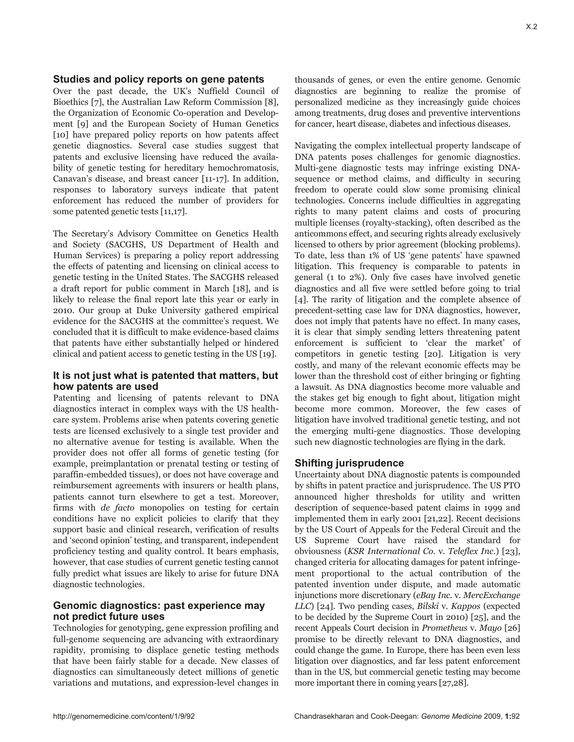#### **Studies and policy reports on gene patents**

Over the past decade, the UK's Nuffield Council of Bioethics [7], the Australian Law Reform Commission [8], the Organization of Economic Co-operation and Development [9] and the European Society of Human Genetics [10] have prepared policy reports on how patents affect genetic diagnostics. Several case studies suggest that patents and exclusive licensing have reduced the availability of genetic testing for hereditary hemochromatosis, Canavan's disease, and breast cancer [11-17]. In addition, responses to laboratory surveys indicate that patent enforcement has reduced the number of providers for some patented genetic tests [11,17].

The Secretary's Advisory Committee on Genetics Health and Society (SACGHS, US Department of Health and Human Services) is preparing a policy report addressing the effects of patenting and licensing on clinical access to genetic testing in the United States. The SACGHS released a draft report for public comment in March [18], and is likely to release the final report late this year or early in 2010. Our group at Duke University gathered empirical evidence for the SACGHS at the committee's request. We concluded that it is difficult to make evidence-based claims that patents have either substantially helped or hindered clinical and patient access to genetic testing in the US [19].

## **It is not just what is patented that matters, but how patents are used**

Patenting and licensing of patents relevant to DNA diagnostics interact in complex ways with the US healthcare system. Problems arise when patents covering genetic tests are licensed exclusively to a single test provider and no alternative avenue for testing is available. When the provider does not offer all forms of genetic testing (for example, preimplantation or prenatal testing or testing of paraffin-embedded tissues), or does not have coverage and reimbursement agreements with insurers or health plans, patients cannot turn elsewhere to get a test. Moreover, firms with *de facto* monopolies on testing for certain conditions have no explicit policies to clarify that they support basic and clinical research, verification of results and 'second opinion' testing, and transparent, independent proficiency testing and quality control. It bears emphasis, however, that case studies of current genetic testing cannot fully predict what issues are likely to arise for future DNA diagnostic technologies.

## **Genomic diagnostics: past experience may not predict future uses**

Technologies for genotyping, gene expression profiling and full-genome sequencing are advancing with extraordinary rapidity, promising to displace genetic testing methods that have been fairly stable for a decade. New classes of diagnostics can simultaneously detect millions of genetic variations and mutations, and expression-level changes in

thousands of genes, or even the entire genome. Genomic diagnostics are beginning to realize the promise of personalized medicine as they increasingly guide choices among treatments, drug doses and preventive interventions for cancer, heart disease, diabetes and infectious diseases.

Navigating the complex intellectual property landscape of DNA patents poses challenges for genomic diagnostics. Multi-gene diagnostic tests may infringe existing DNAsequence or method claims, and difficulty in securing freedom to operate could slow some promising clinical technologies. Concerns include difficulties in aggregating rights to many patent claims and costs of procuring multiple licenses (royalty-stacking), often described as the anticommons effect, and securing rights already exclusively licensed to others by prior agreement (blocking problems). To date, less than 1% of US 'gene patents' have spawned litigation. This frequency is comparable to patents in general (1 to 2%). Only five cases have involved genetic diagnostics and all five were settled before going to trial [4]. The rarity of litigation and the complete absence of precedent-setting case law for DNA diagnostics, however, does not imply that patents have no effect. In many cases, it is clear that simply sending letters threatening patent enforcement is sufficient to 'clear the market' of competitors in genetic testing [20]. Litigation is very costly, and many of the relevant economic effects may be lower than the threshold cost of either bringing or fighting a lawsuit. As DNA diagnostics become more valuable and the stakes get big enough to fight about, litigation might become more common. Moreover, the few cases of litigation have involved traditional genetic testing, and not the emerging multi-gene diagnostics. Those developing such new diagnostic technologies are flying in the dark.

## **Shifting jurisprudence**

Uncertainty about DNA diagnostic patents is compounded by shifts in patent practice and jurisprudence. The US PTO announced higher thresholds for utility and written description of sequence-based patent claims in 1999 and implemented them in early 2001 [21,22]. Recent decisions by the US Court of Appeals for the Federal Circuit and the US Supreme Court have raised the standard for obviousness (*KSR International Co.* v. *Teleflex Inc.*) [23], changed criteria for allocating damages for patent infringement proportional to the actual contribution of the patented invention under dispute, and made automatic injunctions more discretionary (*eBay Inc.* v*. MercExchange LLC*) [24]. Two pending cases, *Bilski* v*. Kappos* (expected to be decided by the Supreme Court in 2010) [25], and the recent Appeals Court decision in *Prometheus* v*. Mayo* [26] promise to be directly relevant to DNA diagnostics, and could change the game. In Europe, there has been even less litigation over diagnostics, and far less patent enforcement than in the US, but commercial genetic testing may become more important there in coming years [27,28].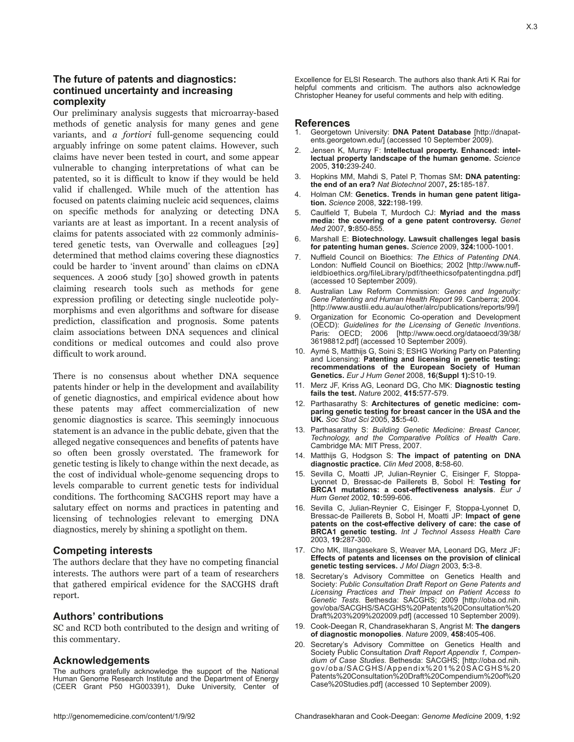## **The future of patents and diagnostics: continued uncertainty and increasing complexity**

Our preliminary analysis suggests that microarray-based methods of genetic analysis for many genes and gene variants, and *a fortiori* full-genome sequencing could arguably infringe on some patent claims. However, such claims have never been tested in court, and some appear vulnerable to changing interpretations of what can be patented, so it is difficult to know if they would be held valid if challenged. While much of the attention has focused on patents claiming nucleic acid sequences, claims on specific methods for analyzing or detecting DNA variants are at least as important. In a recent analysis of claims for patents associated with 22 commonly administered genetic tests, van Overwalle and colleagues [29] determined that method claims covering these diagnostics could be harder to 'invent around' than claims on cDNA sequences. A 2006 study [30] showed growth in patents claiming research tools such as methods for gene expression profiling or detecting single nucleotide polymorphisms and even algorithms and software for disease prediction, classification and prognosis. Some patents claim associations between DNA sequences and clinical conditions or medical outcomes and could also prove difficult to work around.

There is no consensus about whether DNA sequence patents hinder or help in the development and availability of genetic diagnostics, and empirical evidence about how these patents may affect commercialization of new genomic diagnostics is scarce. This seemingly innocuous statement is an advance in the public debate, given that the alleged negative consequences and benefits of patents have so often been grossly overstated. The framework for genetic testing is likely to change within the next decade, as the cost of individual whole-genome sequencing drops to levels comparable to current genetic tests for individual conditions. The forthcoming SACGHS report may have a salutary effect on norms and practices in patenting and licensing of technologies relevant to emerging DNA diagnostics, merely by shining a spotlight on them.

#### **Competing interests**

The authors declare that they have no competing financial interests. The authors were part of a team of researchers that gathered empirical evidence for the SACGHS draft report.

#### **Authors' contributions**

SC and RCD both contributed to the design and writing of this commentary.

#### **Acknowledgements**

The authors gratefully acknowledge the support of the National Human Genome Research Institute and the Department of Energy (CEER Grant P50 HG003391), Duke University, Center of

Excellence for ELSI Research. The authors also thank Arti K Rai for helpful comments and criticism. The authors also acknowledge Christopher Heaney for useful comments and help with editing.

# **References**<br>1. Georgetown

- 1. Georgetown University: **DNA Patent Database** [http://dnapatents.georgetown.edu/] (accessed 10 September 2009).
- 2. Jensen K, Murray F: **Intellectual property. Enhanced: intellectual property landscape of the human genome.** *Science*  2005, **310:**239-240.
- 3. Hopkins MM, Mahdi S, Patel P, Thomas SM**: DNA patenting: the end of an era?** *Nat Biotechnol* 2007**, 25:**185-187.
- 4. Holman CM: **Genetics. Trends in human gene patent litigation.** *Science* 2008, **322:**198-199.
- 5. Caulfield T, Bubela T, Murdoch CJ: **Myriad and the mass media: the covering of a gene patent controversy.** *Genet Med* 2007, **9:**850-855.
- 6. Marshall E: **Biotechnology. Lawsuit challenges legal basis for patenting human genes.** *Science* 2009, **324:**1000-1001.
- 7. Nuffield Council on Bioethics: *The Ethics of Patenting DNA*. London: Nuffield Council on Bioethics; 2002 [http://www.nuffieldbioethics.org/fileLibrary/pdf/theethicsofpatentingdna.pdf] (accessed 10 September 2009).
- 8. Australian Law Reform Commission: *Genes and Ingenuity: Gene Patenting and Human Health Report 99*. Canberra; 2004. [http://www.austlii.edu.au/au/other/alrc/publications/reports/99/]
- 9. Organization for Economic Co-operation and Development (OECD): *Guidelines for the Licensing of Genetic Inventions*. OECD; 2006 [http://www.oecd.org/dataoecd/39/38/ 36198812.pdf] (accessed 10 September 2009).
- 10. Aymé S, Matthijs G, Soini S; ESHG Working Party on Patenting and Licensing: **Patenting and licensing in genetic testing: recommendations of the European Society of Human Genetics.** *Eur J Hum Genet* 2008, **16**(**Suppl 1):**S10-19.
- 11. Merz JF, Kriss AG, Leonard DG, Cho MK: **Diagnostic testing fails the test.** *Nature* 2002, **415:**577-579.
- 12. Parthasarathy S: **Architectures of genetic medicine: comparing genetic testing for breast cancer in the USA and the UK.** *Soc Stud Sci* 2005, **35:**5-40.
- 13. Parthasarathy S: *Building Genetic Medicine: Breast Cancer, Technology, and the Comparative Politics of Health Care*. Cambridge MA: MIT Press, 2007.
- 14. Matthijs G, Hodgson S: **The impact of patenting on DNA diagnostic practice.** *Clin Med* 2008, **8:**58-60.
- 15. Sevilla C, Moatti JP, Julian-Reynier C, Eisinger F, Stoppa-Lyonnet D, Bressac-de Paillerets B, Sobol H: **Testing for BRCA1 mutations: a cost-effectiveness analysis**. *Eur J Hum Genet* 2002, **10:**599-606.
- 16. Sevilla C, Julian-Reynier C, Eisinger F, Stoppa-Lyonnet D, Bressac-de Paillerets B, Sobol H, Moatti JP: **Impact of gene patents on the cost-effective delivery of care: the case of BRCA1 genetic testing.** *Int J Technol Assess Health Care* 2003, **19:**287-300.
- 17. Cho MK, Illangasekare S, Weaver MA, Leonard DG, Merz JF**: Effects of patents and licenses on the provision of clinical genetic testing services.** *J Mol Diagn* 2003, **5:**3-8.
- 18. Secretary's Advisory Committee on Genetics Health and Society: *Public Consultation Draft Report on Gene Patents and Licensing Practices and Their Impact on Patient Access to Genetic Tests*. Bethesda: SACGHS; 2009 [http://oba.od.nih. gov/oba/SACGHS/SACGHS%20Patents%20Consultation%20 Draft%203%209%202009.pdf] (accessed 10 September 2009).
- 19. Cook-Deegan R, Chandrasekharan S, Angrist M: **The dangers of diagnostic monopolies**. *Nature* 2009, **458:**405-406.
- 20. Secretary's Advisory Committee on Genetics Health and Society Public Consultation *Draft Report Appendix 1, Compendium of Case Studies*. Bethesda: SACGHS; [http://oba.od.nih. gov/oba/SACGHS/Appendix%201%20SACGHS%20 Patents%20Consultation%20Draft%20Compendium%20of%20 Case%20Studies.pdf] (accessed 10 September 2009).